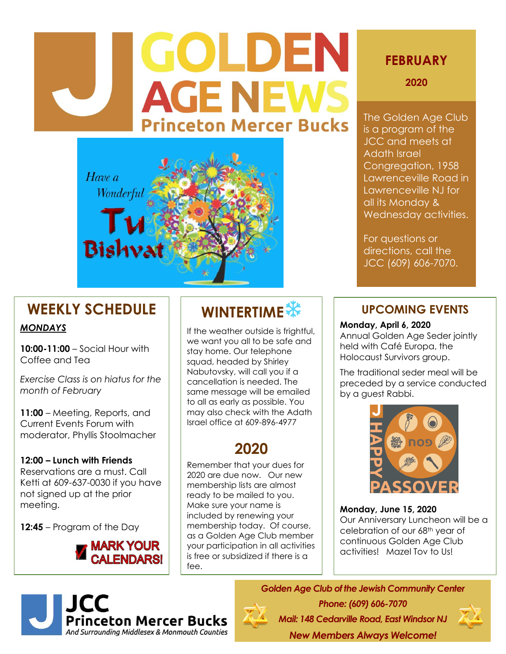# GOLDEN **AGE NEWS Princeton Mercer Bucks**



# **WEEKLY SCHEDULE**

#### *MONDAYS*

**10:00-11:00** – Social Hour with Coffee and Tea

*Exercise Class is on hiatus for the month of February*

**11:00** – Meeting, Reports, and Current Events Forum with moderator, Phyllis Stoolmacher

### **12:00 – Lunch with Friends** Reservations are a must. Call

Ketti at 609-637-0030 if you have not signed up at the prior meeting.

**12:45** – Program of the Day



# **WINTERTIME**

If the weather outside is frightful, we want you all to be safe and stay home. Our telephone squad, headed by Shirley Nabutovsky, will call you if a cancellation is needed. The same message will be emailed to all as early as possible. You may also check with the Adath Israel office at 609-896-4977

# **2020**

Remember that your dues for 2020 are due now. Our new membership lists are almost ready to be mailed to you. Make sure your name is included by renewing your membership today. Of course, as a Golden Age Club member your participation in all activities is free or subsidized if there is a fee.

# **FEBRUARY**

**2020**

The Golden Age Club is a program of the JCC and meets at Adath Israel Congregation, 1958 Lawrenceville Road in Lawrenceville NJ for all its Monday & Wednesday activities.

For questions or directions, call the JCC (609) 606-7070.

## **UPCOMING EVENTS**

#### **Monday, April 6, 2020**

Annual Golden Age Seder jointly held with Café Europa, the Holocaust Survivors group.

The traditional seder meal will be preceded by a service conducted by a guest Rabbi.



**Monday, June 15, 2020** Our Anniversary Luncheon will be a celebration of our 68th year of continuous Golden Age Club activities! Mazel Tov to Us!



*Golden Age Club of the Jewish Community Center Phone: (609) 606-7070 Mail: 148 Cedarville Road, East Windsor NJ* 

*New Members Always Welcome!*